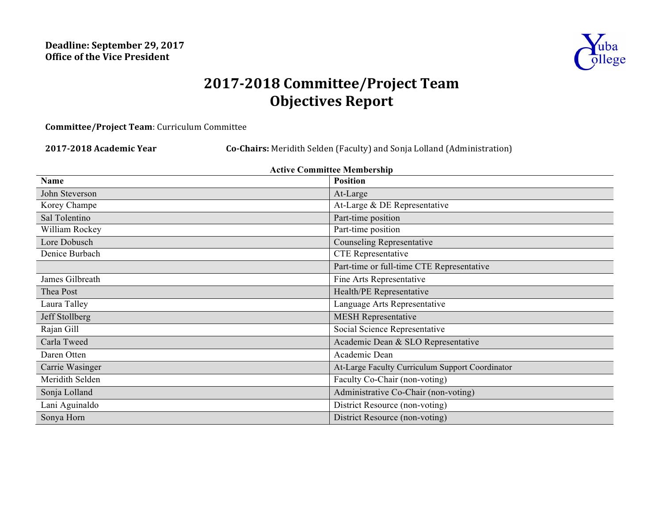

# **2017-2018 Committee/Project Team Objectives Report**

**Committee/Project Team**: Curriculum Committee

**2017-2018 Academic Year Co-Chairs:** Meridith Selden (Faculty) and Sonja Lolland (Administration)

| <b>Active Committee Membership</b> |                                                 |  |  |  |
|------------------------------------|-------------------------------------------------|--|--|--|
| <b>Name</b>                        | <b>Position</b>                                 |  |  |  |
| John Steverson                     | At-Large                                        |  |  |  |
| Korey Champe                       | At-Large & DE Representative                    |  |  |  |
| Sal Tolentino                      | Part-time position                              |  |  |  |
| William Rockey                     | Part-time position                              |  |  |  |
| Lore Dobusch                       | <b>Counseling Representative</b>                |  |  |  |
| Denice Burbach                     | <b>CTE</b> Representative                       |  |  |  |
|                                    | Part-time or full-time CTE Representative       |  |  |  |
| James Gilbreath                    | Fine Arts Representative                        |  |  |  |
| Thea Post                          | Health/PE Representative                        |  |  |  |
| Laura Talley                       | Language Arts Representative                    |  |  |  |
| Jeff Stollberg                     | <b>MESH Representative</b>                      |  |  |  |
| Rajan Gill                         | Social Science Representative                   |  |  |  |
| Carla Tweed                        | Academic Dean & SLO Representative              |  |  |  |
| Daren Otten                        | Academic Dean                                   |  |  |  |
| Carrie Wasinger                    | At-Large Faculty Curriculum Support Coordinator |  |  |  |
| Meridith Selden                    | Faculty Co-Chair (non-voting)                   |  |  |  |
| Sonja Lolland                      | Administrative Co-Chair (non-voting)            |  |  |  |
| Lani Aguinaldo                     | District Resource (non-voting)                  |  |  |  |
| Sonya Horn                         | District Resource (non-voting)                  |  |  |  |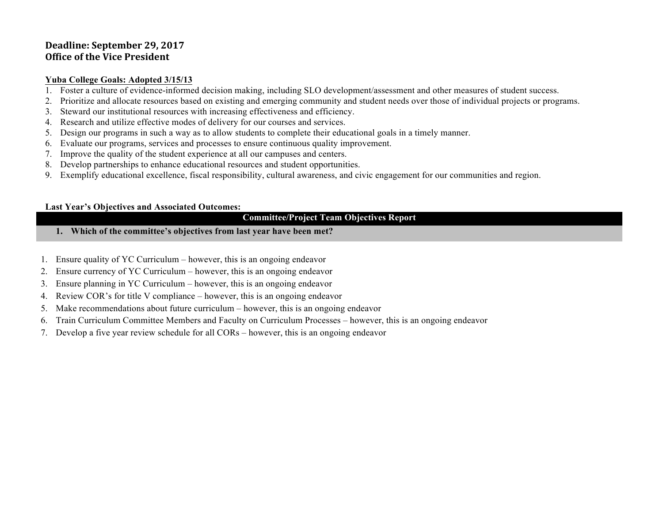## Deadline: September 29, 2017 **Office of the Vice President**

#### **Yuba College Goals: Adopted 3/15/13**

- 1. Foster a culture of evidence-informed decision making, including SLO development/assessment and other measures of student success.
- 2. Prioritize and allocate resources based on existing and emerging community and student needs over those of individual projects or programs.
- 3. Steward our institutional resources with increasing effectiveness and efficiency.
- 4. Research and utilize effective modes of delivery for our courses and services.
- 5. Design our programs in such a way as to allow students to complete their educational goals in a timely manner.
- 6. Evaluate our programs, services and processes to ensure continuous quality improvement.
- 7. Improve the quality of the student experience at all our campuses and centers.
- 8. Develop partnerships to enhance educational resources and student opportunities.
- 9. Exemplify educational excellence, fiscal responsibility, cultural awareness, and civic engagement for our communities and region.

#### **Last Year's Objectives and Associated Outcomes:**

#### **Committee/Project Team Objectives Report**

- **1. Which of the committee's objectives from last year have been met?**
- 1. Ensure quality of YC Curriculum however, this is an ongoing endeavor
- 2. Ensure currency of YC Curriculum however, this is an ongoing endeavor
- 3. Ensure planning in YC Curriculum however, this is an ongoing endeavor
- 4. Review COR's for title V compliance however, this is an ongoing endeavor
- 5. Make recommendations about future curriculum however, this is an ongoing endeavor
- 6. Train Curriculum Committee Members and Faculty on Curriculum Processes however, this is an ongoing endeavor
- 7. Develop a five year review schedule for all CORs however, this is an ongoing endeavor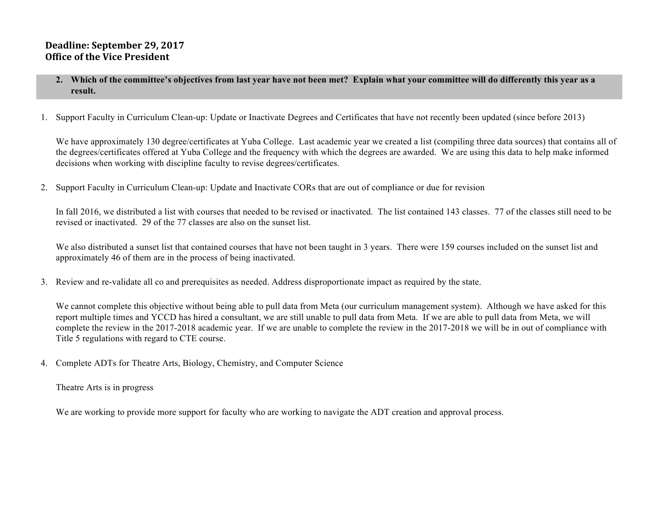## Deadline: September 29, 2017 **Office of the Vice President**

- **2. Which of the committee's objectives from last year have not been met? Explain what your committee will do differently this year as a result.**
- 1. Support Faculty in Curriculum Clean-up: Update or Inactivate Degrees and Certificates that have not recently been updated (since before 2013)

We have approximately 130 degree/certificates at Yuba College. Last academic year we created a list (compiling three data sources) that contains all of the degrees/certificates offered at Yuba College and the frequency with which the degrees are awarded. We are using this data to help make informed decisions when working with discipline faculty to revise degrees/certificates.

2. Support Faculty in Curriculum Clean-up: Update and Inactivate CORs that are out of compliance or due for revision

In fall 2016, we distributed a list with courses that needed to be revised or inactivated. The list contained 143 classes. 77 of the classes still need to be revised or inactivated. 29 of the 77 classes are also on the sunset list.

We also distributed a sunset list that contained courses that have not been taught in 3 years. There were 159 courses included on the sunset list and approximately 46 of them are in the process of being inactivated.

3. Review and re-validate all co and prerequisites as needed. Address disproportionate impact as required by the state.

We cannot complete this objective without being able to pull data from Meta (our curriculum management system). Although we have asked for this report multiple times and YCCD has hired a consultant, we are still unable to pull data from Meta. If we are able to pull data from Meta, we will complete the review in the 2017-2018 academic year. If we are unable to complete the review in the 2017-2018 we will be in out of compliance with Title 5 regulations with regard to CTE course.

4. Complete ADTs for Theatre Arts, Biology, Chemistry, and Computer Science

Theatre Arts is in progress

We are working to provide more support for faculty who are working to navigate the ADT creation and approval process.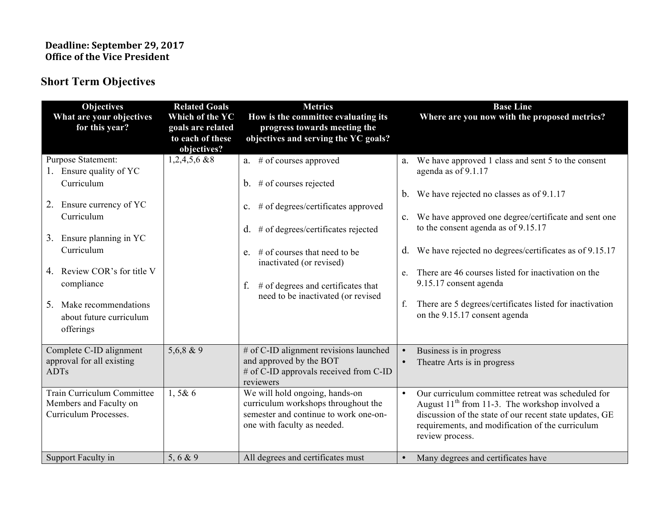## **Deadline: September 29, 2017 Office of the Vice President**

## **Short Term Objectives**

| <b>Objectives</b><br>What are your objectives<br>for this year?                                                                                                                                                                                                                          | <b>Related Goals</b><br>Which of the YC<br>goals are related<br>to each of these<br>objectives? | <b>Metrics</b><br>How is the committee evaluating its<br>progress towards meeting the<br>objectives and serving the YC goals?                                                                                                                                                                                               | <b>Base Line</b><br>Where are you now with the proposed metrics?                                                                                                                                                                                                                                                                                                                                                                                                                        |
|------------------------------------------------------------------------------------------------------------------------------------------------------------------------------------------------------------------------------------------------------------------------------------------|-------------------------------------------------------------------------------------------------|-----------------------------------------------------------------------------------------------------------------------------------------------------------------------------------------------------------------------------------------------------------------------------------------------------------------------------|-----------------------------------------------------------------------------------------------------------------------------------------------------------------------------------------------------------------------------------------------------------------------------------------------------------------------------------------------------------------------------------------------------------------------------------------------------------------------------------------|
| <b>Purpose Statement:</b><br>1. Ensure quality of YC<br>Curriculum<br>2. Ensure currency of YC<br>Curriculum<br>3. Ensure planning in YC<br>Curriculum<br>Review COR's for title V<br>4.<br>compliance<br>5 <sub>1</sub><br>Make recommendations<br>about future curriculum<br>offerings | $1,2,4,5,6$ & 8                                                                                 | a. $#$ of courses approved<br>b. $\#$ of courses rejected<br># of degrees/certificates approved<br>$\mathbf{c}$ .<br># of degrees/certificates rejected<br>d.<br>$\#$ of courses that need to be<br>$e_{-}$<br>inactivated (or revised)<br>$#$ of degrees and certificates that<br>f.<br>need to be inactivated (or revised | a. We have approved 1 class and sent 5 to the consent<br>agenda as of 9.1.17<br>b. We have rejected no classes as of 9.1.17<br>c. We have approved one degree/certificate and sent one<br>to the consent agenda as of 9.15.17<br>We have rejected no degrees/certificates as of 9.15.17<br>d.<br>There are 46 courses listed for inactivation on the<br>e.<br>9.15.17 consent agenda<br>f.<br>There are 5 degrees/certificates listed for inactivation<br>on the 9.15.17 consent agenda |
| Complete C-ID alignment<br>approval for all existing<br><b>ADTs</b><br><b>Train Curriculum Committee</b><br>Members and Faculty on<br>Curriculum Processes.                                                                                                                              | $5,6,8$ & 9<br>1,5&6                                                                            | # of C-ID alignment revisions launched<br>and approved by the BOT<br># of C-ID approvals received from C-ID<br>reviewers<br>We will hold ongoing, hands-on<br>curriculum workshops throughout the<br>semester and continue to work one-on-<br>one with faculty as needed.                                                   | Business is in progress<br>$\bullet$<br>Theatre Arts is in progress<br>$\bullet$<br>Our curriculum committee retreat was scheduled for<br>$\bullet$<br>August $11th$ from 11-3. The workshop involved a<br>discussion of the state of our recent state updates, GE<br>requirements, and modification of the curriculum<br>review process.                                                                                                                                               |
| Support Faculty in                                                                                                                                                                                                                                                                       | 5, 6 & 9                                                                                        | All degrees and certificates must                                                                                                                                                                                                                                                                                           | Many degrees and certificates have<br>$\bullet$                                                                                                                                                                                                                                                                                                                                                                                                                                         |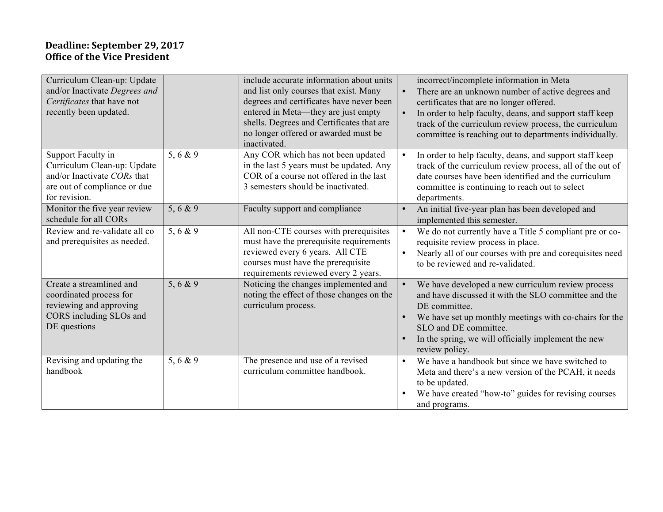## **Deadline: September 29, 2017 Office of the Vice President**

| Curriculum Clean-up: Update<br>and/or Inactivate Degrees and<br>Certificates that have not<br>recently been updated.              |          | include accurate information about units<br>and list only courses that exist. Many<br>degrees and certificates have never been<br>entered in Meta—they are just empty<br>shells. Degrees and Certificates that are<br>no longer offered or awarded must be<br>inactivated. | $\bullet$<br>$\bullet$ | incorrect/incomplete information in Meta<br>There are an unknown number of active degrees and<br>certificates that are no longer offered.<br>In order to help faculty, deans, and support staff keep<br>track of the curriculum review process, the curriculum<br>committee is reaching out to departments individually. |
|-----------------------------------------------------------------------------------------------------------------------------------|----------|----------------------------------------------------------------------------------------------------------------------------------------------------------------------------------------------------------------------------------------------------------------------------|------------------------|--------------------------------------------------------------------------------------------------------------------------------------------------------------------------------------------------------------------------------------------------------------------------------------------------------------------------|
| Support Faculty in<br>Curriculum Clean-up: Update<br>and/or Inactivate CORs that<br>are out of compliance or due<br>for revision. | 5, 6 & 9 | Any COR which has not been updated<br>in the last 5 years must be updated. Any<br>COR of a course not offered in the last<br>3 semesters should be inactivated.                                                                                                            | $\bullet$              | In order to help faculty, deans, and support staff keep<br>track of the curriculum review process, all of the out of<br>date courses have been identified and the curriculum<br>committee is continuing to reach out to select<br>departments.                                                                           |
| Monitor the five year review<br>schedule for all CORs                                                                             | 5, 6 & 9 | Faculty support and compliance                                                                                                                                                                                                                                             | $\bullet$              | An initial five-year plan has been developed and<br>implemented this semester.                                                                                                                                                                                                                                           |
| Review and re-validate all co<br>and prerequisites as needed.                                                                     | 5, 6 & 9 | All non-CTE courses with prerequisites<br>must have the prerequisite requirements<br>reviewed every 6 years. All CTE<br>courses must have the prerequisite<br>requirements reviewed every 2 years.                                                                         | $\bullet$              | We do not currently have a Title 5 compliant pre or co-<br>requisite review process in place.<br>Nearly all of our courses with pre and corequisites need<br>to be reviewed and re-validated.                                                                                                                            |
| Create a streamlined and<br>coordinated process for<br>reviewing and approving<br>CORS including SLOs and<br>DE questions         | 5, 6 & 9 | Noticing the changes implemented and<br>noting the effect of those changes on the<br>curriculum process.                                                                                                                                                                   | $\bullet$              | We have developed a new curriculum review process<br>and have discussed it with the SLO committee and the<br>DE committee.<br>We have set up monthly meetings with co-chairs for the<br>SLO and DE committee.<br>In the spring, we will officially implement the new<br>review policy.                                   |
| Revising and updating the<br>handbook                                                                                             | 5, 6 & 9 | The presence and use of a revised<br>curriculum committee handbook.                                                                                                                                                                                                        | $\bullet$              | We have a handbook but since we have switched to<br>Meta and there's a new version of the PCAH, it needs<br>to be updated.<br>We have created "how-to" guides for revising courses<br>and programs.                                                                                                                      |